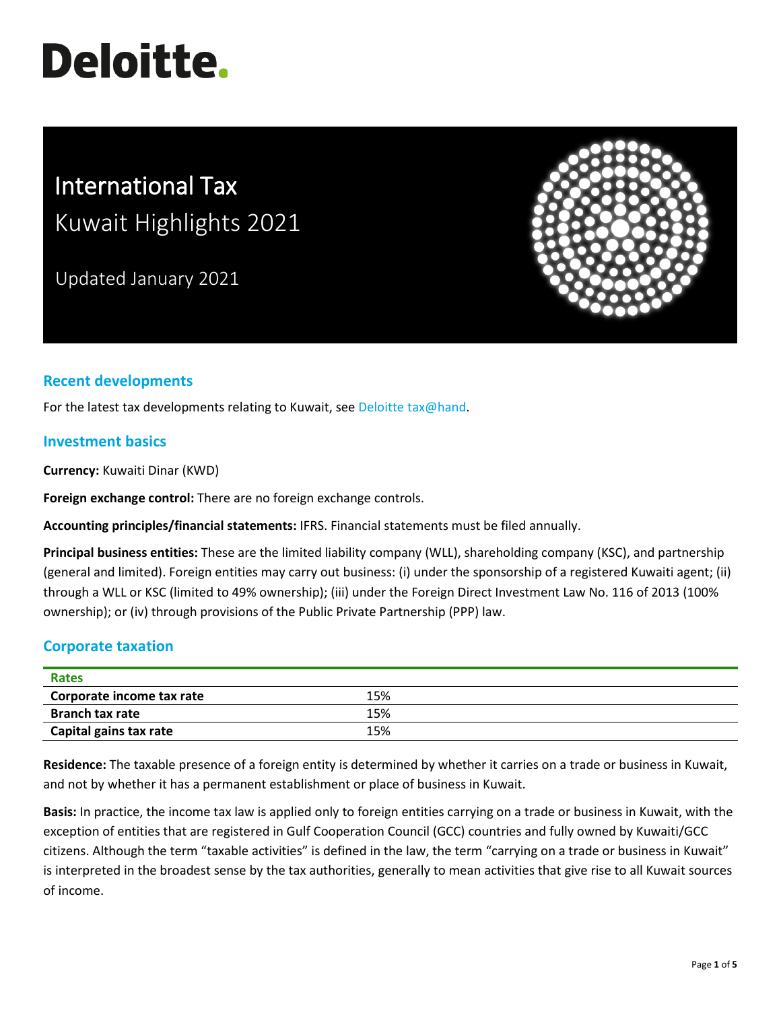# **Deloitte.**

# International Tax Kuwait Highlights 2021

Updated January 2021



# **Recent developments**

For the latest tax developments relating to Kuwait, see [Deloitte tax@hand.](https://www.taxathand.com/world-news/Kuwait)

## **Investment basics**

**Currency:** Kuwaiti Dinar (KWD)

**Foreign exchange control:** There are no foreign exchange controls.

**Accounting principles/financial statements:** IFRS. Financial statements must be filed annually.

**Principal business entities:** These are the limited liability company (WLL), shareholding company (KSC), and partnership (general and limited). Foreign entities may carry out business: (i) under the sponsorship of a registered Kuwaiti agent; (ii) through a WLL or KSC (limited to 49% ownership); (iii) under the Foreign Direct Investment Law No. 116 of 2013 (100% ownership); or (iv) through provisions of the Public Private Partnership (PPP) law.

## **Corporate taxation**

| Rates                     |     |  |
|---------------------------|-----|--|
| Corporate income tax rate | 15% |  |
| <b>Branch tax rate</b>    | 15% |  |
| Capital gains tax rate    | 15% |  |

**Residence:** The taxable presence of a foreign entity is determined by whether it carries on a trade or business in Kuwait, and not by whether it has a permanent establishment or place of business in Kuwait.

**Basis:** In practice, the income tax law is applied only to foreign entities carrying on a trade or business in Kuwait, with the exception of entities that are registered in Gulf Cooperation Council (GCC) countries and fully owned by Kuwaiti/GCC citizens. Although the term "taxable activities" is defined in the law, the term "carrying on a trade or business in Kuwait" is interpreted in the broadest sense by the tax authorities, generally to mean activities that give rise to all Kuwait sources of income.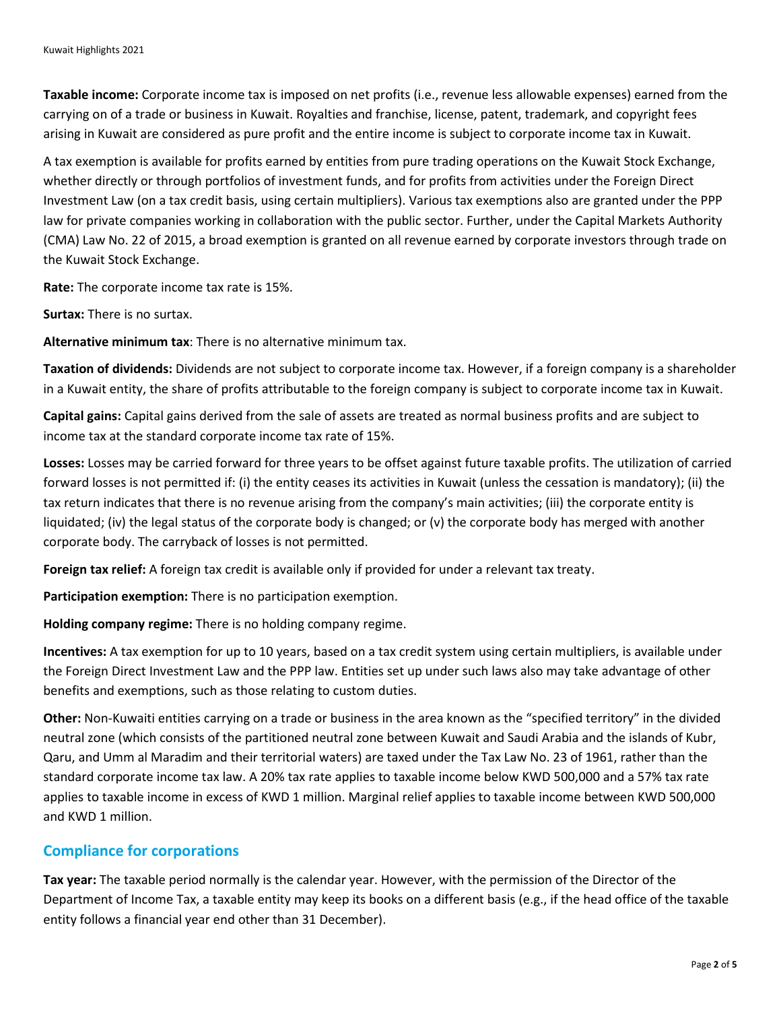**Taxable income:** Corporate income tax is imposed on net profits (i.e., revenue less allowable expenses) earned from the carrying on of a trade or business in Kuwait. Royalties and franchise, license, patent, trademark, and copyright fees arising in Kuwait are considered as pure profit and the entire income is subject to corporate income tax in Kuwait.

A tax exemption is available for profits earned by entities from pure trading operations on the Kuwait Stock Exchange, whether directly or through portfolios of investment funds, and for profits from activities under the Foreign Direct Investment Law (on a tax credit basis, using certain multipliers). Various tax exemptions also are granted under the PPP law for private companies working in collaboration with the public sector. Further, under the Capital Markets Authority (CMA) Law No. 22 of 2015, a broad exemption is granted on all revenue earned by corporate investors through trade on the Kuwait Stock Exchange.

**Rate:** The corporate income tax rate is 15%.

**Surtax:** There is no surtax.

**Alternative minimum tax**: There is no alternative minimum tax.

**Taxation of dividends:** Dividends are not subject to corporate income tax. However, if a foreign company is a shareholder in a Kuwait entity, the share of profits attributable to the foreign company is subject to corporate income tax in Kuwait.

**Capital gains:** Capital gains derived from the sale of assets are treated as normal business profits and are subject to income tax at the standard corporate income tax rate of 15%.

**Losses:** Losses may be carried forward for three years to be offset against future taxable profits. The utilization of carried forward losses is not permitted if: (i) the entity ceases its activities in Kuwait (unless the cessation is mandatory); (ii) the tax return indicates that there is no revenue arising from the company's main activities; (iii) the corporate entity is liquidated; (iv) the legal status of the corporate body is changed; or (v) the corporate body has merged with another corporate body. The carryback of losses is not permitted.

**Foreign tax relief:** A foreign tax credit is available only if provided for under a relevant tax treaty.

**Participation exemption:** There is no participation exemption.

**Holding company regime:** There is no holding company regime.

**Incentives:** A tax exemption for up to 10 years, based on a tax credit system using certain multipliers, is available under the Foreign Direct Investment Law and the PPP law. Entities set up under such laws also may take advantage of other benefits and exemptions, such as those relating to custom duties.

**Other:** Non-Kuwaiti entities carrying on a trade or business in the area known as the "specified territory" in the divided neutral zone (which consists of the partitioned neutral zone between Kuwait and Saudi Arabia and the islands of Kubr, Qaru, and Umm al Maradim and their territorial waters) are taxed under the Tax Law No. 23 of 1961, rather than the standard corporate income tax law. A 20% tax rate applies to taxable income below KWD 500,000 and a 57% tax rate applies to taxable income in excess of KWD 1 million. Marginal relief applies to taxable income between KWD 500,000 and KWD 1 million.

## **Compliance for corporations**

**Tax year:** The taxable period normally is the calendar year. However, with the permission of the Director of the Department of Income Tax, a taxable entity may keep its books on a different basis (e.g., if the head office of the taxable entity follows a financial year end other than 31 December).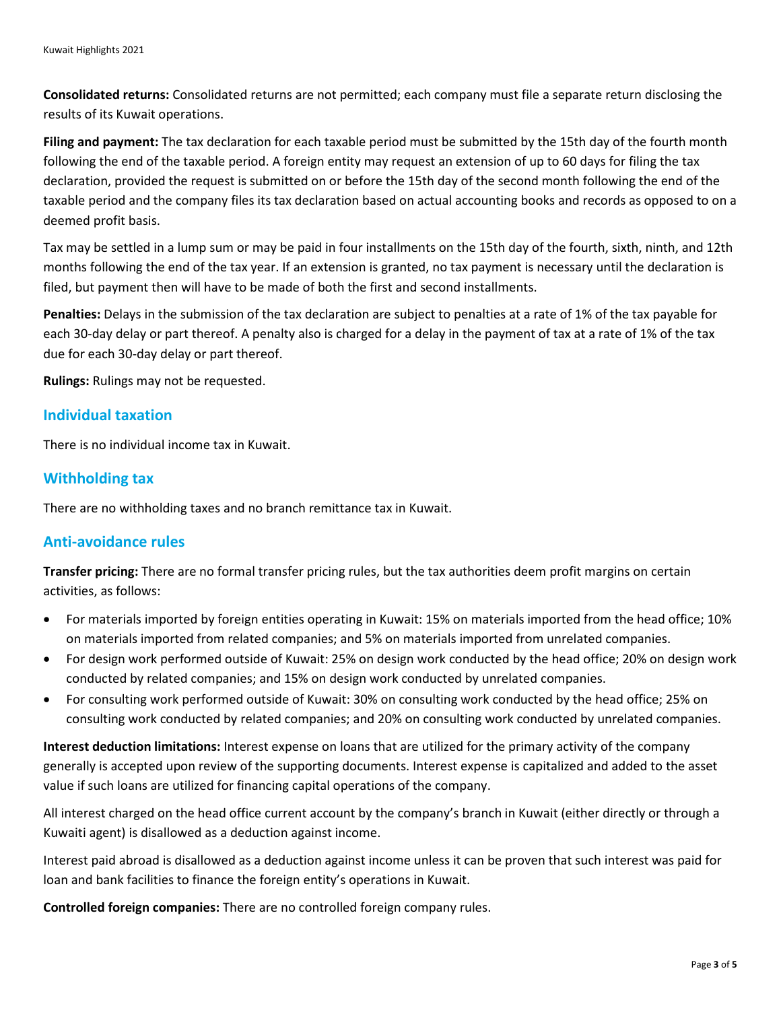**Consolidated returns:** Consolidated returns are not permitted; each company must file a separate return disclosing the results of its Kuwait operations.

**Filing and payment:** The tax declaration for each taxable period must be submitted by the 15th day of the fourth month following the end of the taxable period. A foreign entity may request an extension of up to 60 days for filing the tax declaration, provided the request is submitted on or before the 15th day of the second month following the end of the taxable period and the company files its tax declaration based on actual accounting books and records as opposed to on a deemed profit basis.

Tax may be settled in a lump sum or may be paid in four installments on the 15th day of the fourth, sixth, ninth, and 12th months following the end of the tax year. If an extension is granted, no tax payment is necessary until the declaration is filed, but payment then will have to be made of both the first and second installments.

**Penalties:** Delays in the submission of the tax declaration are subject to penalties at a rate of 1% of the tax payable for each 30-day delay or part thereof. A penalty also is charged for a delay in the payment of tax at a rate of 1% of the tax due for each 30-day delay or part thereof.

**Rulings:** Rulings may not be requested.

## **Individual taxation**

There is no individual income tax in Kuwait.

## **Withholding tax**

There are no withholding taxes and no branch remittance tax in Kuwait.

## **Anti-avoidance rules**

**Transfer pricing:** There are no formal transfer pricing rules, but the tax authorities deem profit margins on certain activities, as follows:

- For materials imported by foreign entities operating in Kuwait: 15% on materials imported from the head office; 10% on materials imported from related companies; and 5% on materials imported from unrelated companies.
- For design work performed outside of Kuwait: 25% on design work conducted by the head office; 20% on design work conducted by related companies; and 15% on design work conducted by unrelated companies.
- For consulting work performed outside of Kuwait: 30% on consulting work conducted by the head office; 25% on consulting work conducted by related companies; and 20% on consulting work conducted by unrelated companies.

**Interest deduction limitations:** Interest expense on loans that are utilized for the primary activity of the company generally is accepted upon review of the supporting documents. Interest expense is capitalized and added to the asset value if such loans are utilized for financing capital operations of the company.

All interest charged on the head office current account by the company's branch in Kuwait (either directly or through a Kuwaiti agent) is disallowed as a deduction against income.

Interest paid abroad is disallowed as a deduction against income unless it can be proven that such interest was paid for loan and bank facilities to finance the foreign entity's operations in Kuwait.

**Controlled foreign companies:** There are no controlled foreign company rules.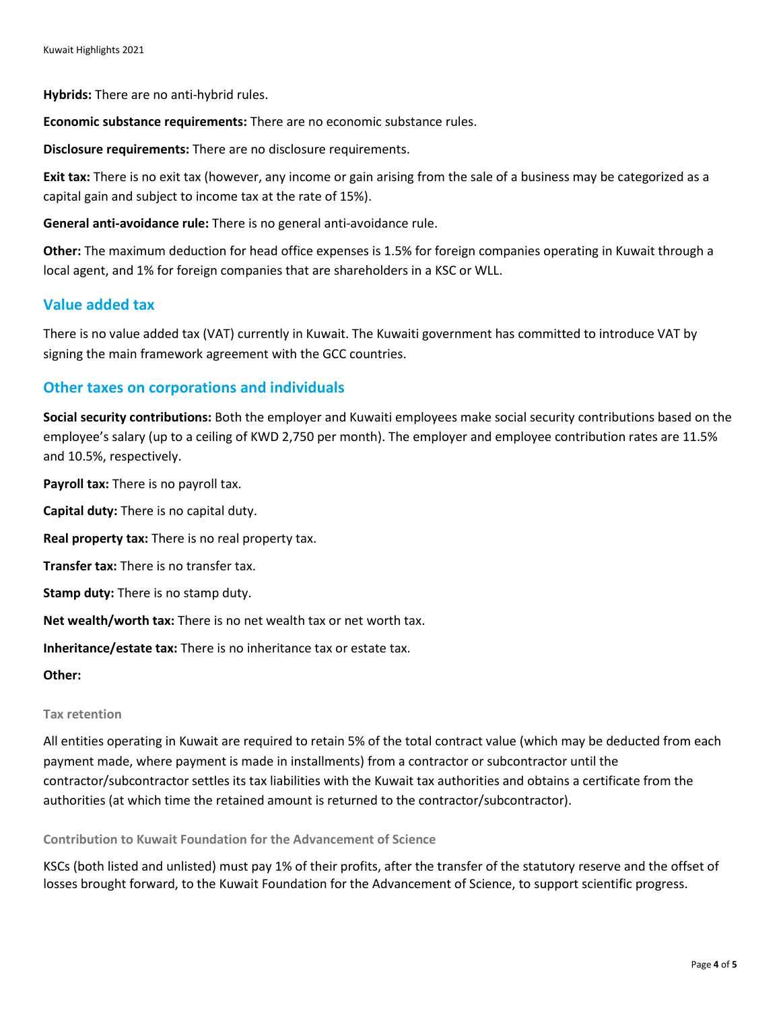**Hybrids:** There are no anti-hybrid rules.

**Economic substance requirements:** There are no economic substance rules.

**Disclosure requirements:** There are no disclosure requirements.

**Exit tax:** There is no exit tax (however, any income or gain arising from the sale of a business may be categorized as a capital gain and subject to income tax at the rate of 15%).

**General anti-avoidance rule:** There is no general anti-avoidance rule.

**Other:** The maximum deduction for head office expenses is 1.5% for foreign companies operating in Kuwait through a local agent, and 1% for foreign companies that are shareholders in a KSC or WLL.

## **Value added tax**

There is no value added tax (VAT) currently in Kuwait. The Kuwaiti government has committed to introduce VAT by signing the main framework agreement with the GCC countries.

## **Other taxes on corporations and individuals**

**Social security contributions:** Both the employer and Kuwaiti employees make social security contributions based on the employee's salary (up to a ceiling of KWD 2,750 per month). The employer and employee contribution rates are 11.5% and 10.5%, respectively.

**Payroll tax:** There is no payroll tax.

**Capital duty:** There is no capital duty.

**Real property tax:** There is no real property tax.

**Transfer tax:** There is no transfer tax.

**Stamp duty:** There is no stamp duty.

**Net wealth/worth tax:** There is no net wealth tax or net worth tax.

**Inheritance/estate tax:** There is no inheritance tax or estate tax.

#### **Other:**

#### **Tax retention**

All entities operating in Kuwait are required to retain 5% of the total contract value (which may be deducted from each payment made, where payment is made in installments) from a contractor or subcontractor until the contractor/subcontractor settles its tax liabilities with the Kuwait tax authorities and obtains a certificate from the authorities (at which time the retained amount is returned to the contractor/subcontractor).

**Contribution to Kuwait Foundation for the Advancement of Science**

KSCs (both listed and unlisted) must pay 1% of their profits, after the transfer of the statutory reserve and the offset of losses brought forward, to the Kuwait Foundation for the Advancement of Science, to support scientific progress.